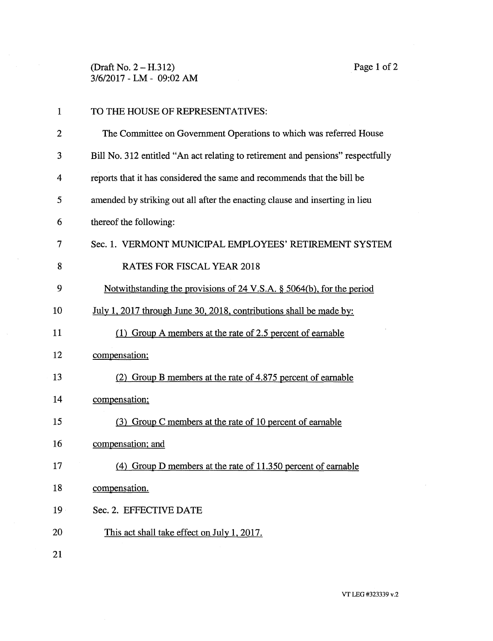(Draft No. 2 — H.312) Page 1 of 2 3/6/2017 - LM - 09:02 AM

| $\mathbf{1}$ | TO THE HOUSE OF REPRESENTATIVES:                                                |
|--------------|---------------------------------------------------------------------------------|
| 2            | The Committee on Government Operations to which was referred House              |
| 3            | Bill No. 312 entitled "An act relating to retirement and pensions" respectfully |
| 4            | reports that it has considered the same and recommends that the bill be         |
| 5            | amended by striking out all after the enacting clause and inserting in lieu     |
| 6            | thereof the following:                                                          |
| 7            | Sec. 1. VERMONT MUNICIPAL EMPLOYEES' RETIREMENT SYSTEM                          |
| 8            | <b>RATES FOR FISCAL YEAR 2018</b>                                               |
| 9            | Notwithstanding the provisions of 24 V.S.A. § 5064(b), for the period           |
| 10           | July 1, 2017 through June 30, 2018, contributions shall be made by:             |
| 11           | (1) Group A members at the rate of 2.5 percent of earnable                      |
| 12           | compensation;                                                                   |
| 13           | Group B members at the rate of 4.875 percent of earnable                        |
| 14           | compensation;                                                                   |
| 15           | (3) Group C members at the rate of 10 percent of earnable                       |
| 16           | compensation; and                                                               |
| 17           | (4) Group D members at the rate of 11.350 percent of earnable                   |
| 18           | compensation.                                                                   |
| 19           | Sec. 2. EFFECTIVE DATE                                                          |
| 20           | This act shall take effect on July 1, 2017.                                     |
| 21           |                                                                                 |